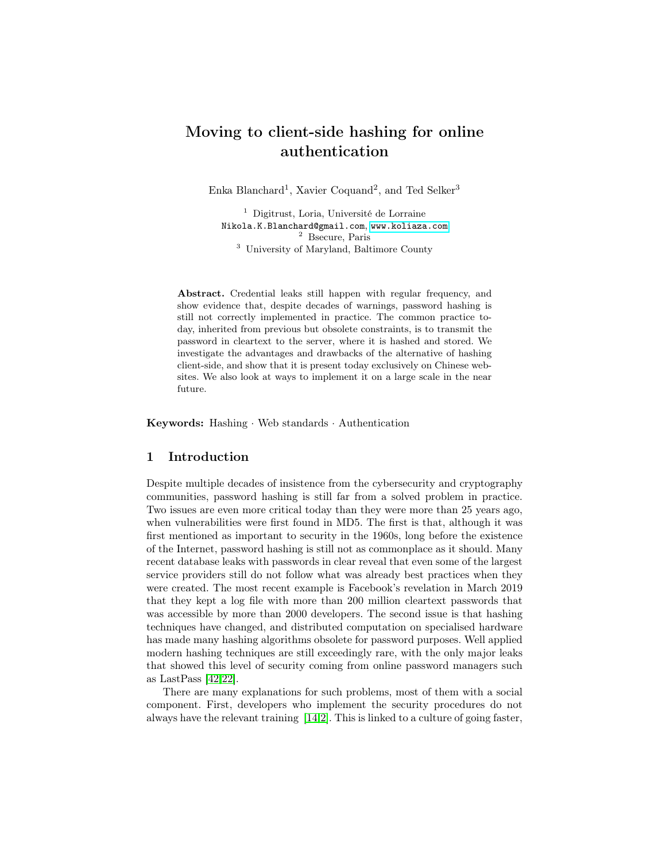# Moving to client-side hashing for online authentication

Enka Blanchard<sup>1</sup>, Xavier Coquand<sup>2</sup>, and Ted Selker<sup>3</sup>

 Digitrust, Loria, Université de Lorraine Nikola.K.Blanchard@gmail.com, <www.koliaza.com> Bsecure, Paris University of Maryland, Baltimore County

Abstract. Credential leaks still happen with regular frequency, and show evidence that, despite decades of warnings, password hashing is still not correctly implemented in practice. The common practice today, inherited from previous but obsolete constraints, is to transmit the password in cleartext to the server, where it is hashed and stored. We investigate the advantages and drawbacks of the alternative of hashing client-side, and show that it is present today exclusively on Chinese websites. We also look at ways to implement it on a large scale in the near future.

Keywords: Hashing · Web standards · Authentication

# 1 Introduction

Despite multiple decades of insistence from the cybersecurity and cryptography communities, password hashing is still far from a solved problem in practice. Two issues are even more critical today than they were more than 25 years ago, when vulnerabilities were first found in MD5. The first is that, although it was first mentioned as important to security in the 1960s, long before the existence of the Internet, password hashing is still not as commonplace as it should. Many recent database leaks with passwords in clear reveal that even some of the largest service providers still do not follow what was already best practices when they were created. The most recent example is Facebook's revelation in March 2019 that they kept a log file with more than 200 million cleartext passwords that was accessible by more than 2000 developers. The second issue is that hashing techniques have changed, and distributed computation on specialised hardware has made many hashing algorithms obsolete for password purposes. Well applied modern hashing techniques are still exceedingly rare, with the only major leaks that showed this level of security coming from online password managers such as LastPass [\[42](#page-16-0)[,22\]](#page-15-0).

There are many explanations for such problems, most of them with a social component. First, developers who implement the security procedures do not always have the relevant training [\[14,](#page-14-0)[2\]](#page-14-1). This is linked to a culture of going faster,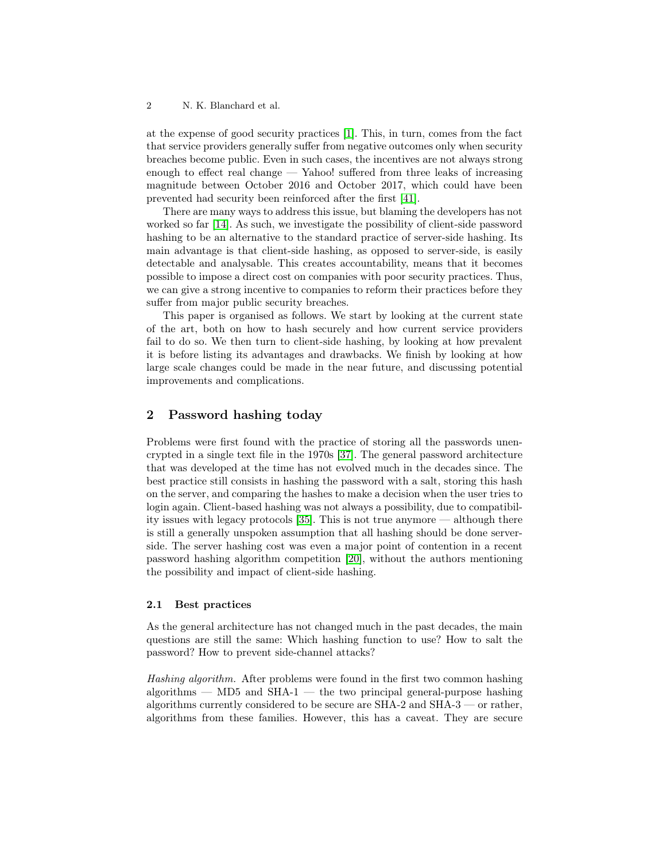at the expense of good security practices [\[1\]](#page-14-2). This, in turn, comes from the fact that service providers generally suffer from negative outcomes only when security breaches become public. Even in such cases, the incentives are not always strong enough to effect real change — Yahoo! suffered from three leaks of increasing magnitude between October 2016 and October 2017, which could have been prevented had security been reinforced after the first [\[41\]](#page-16-1).

There are many ways to address this issue, but blaming the developers has not worked so far [\[14\]](#page-14-0). As such, we investigate the possibility of client-side password hashing to be an alternative to the standard practice of server-side hashing. Its main advantage is that client-side hashing, as opposed to server-side, is easily detectable and analysable. This creates accountability, means that it becomes possible to impose a direct cost on companies with poor security practices. Thus, we can give a strong incentive to companies to reform their practices before they suffer from major public security breaches.

This paper is organised as follows. We start by looking at the current state of the art, both on how to hash securely and how current service providers fail to do so. We then turn to client-side hashing, by looking at how prevalent it is before listing its advantages and drawbacks. We finish by looking at how large scale changes could be made in the near future, and discussing potential improvements and complications.

### 2 Password hashing today

Problems were first found with the practice of storing all the passwords unencrypted in a single text file in the 1970s [\[37\]](#page-16-2). The general password architecture that was developed at the time has not evolved much in the decades since. The best practice still consists in hashing the password with a salt, storing this hash on the server, and comparing the hashes to make a decision when the user tries to login again. Client-based hashing was not always a possibility, due to compatibility issues with legacy protocols [\[35\]](#page-16-3). This is not true anymore — although there is still a generally unspoken assumption that all hashing should be done serverside. The server hashing cost was even a major point of contention in a recent password hashing algorithm competition [\[20\]](#page-15-1), without the authors mentioning the possibility and impact of client-side hashing.

### 2.1 Best practices

As the general architecture has not changed much in the past decades, the main questions are still the same: Which hashing function to use? How to salt the password? How to prevent side-channel attacks?

Hashing algorithm. After problems were found in the first two common hashing algorithms — MD5 and  $SHA-1$  — the two principal general-purpose hashing algorithms currently considered to be secure are SHA-2 and SHA-3 — or rather, algorithms from these families. However, this has a caveat. They are secure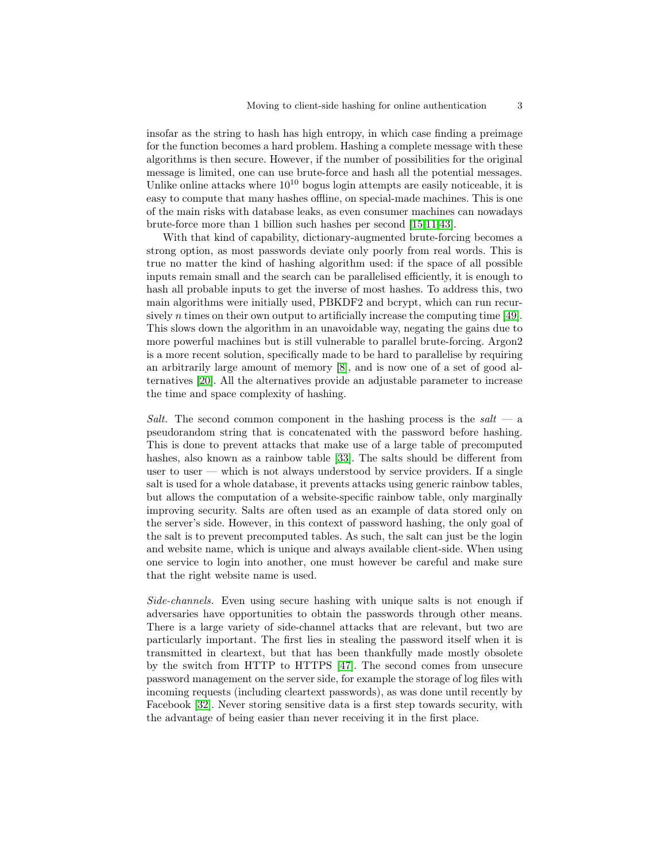insofar as the string to hash has high entropy, in which case finding a preimage for the function becomes a hard problem. Hashing a complete message with these algorithms is then secure. However, if the number of possibilities for the original message is limited, one can use brute-force and hash all the potential messages. Unlike online attacks where  $10^{10}$  bogus login attempts are easily noticeable, it is easy to compute that many hashes offline, on special-made machines. This is one of the main risks with database leaks, as even consumer machines can nowadays brute-force more than 1 billion such hashes per second [\[15,](#page-14-3)[11,](#page-14-4)[43\]](#page-16-4).

With that kind of capability, dictionary-augmented brute-forcing becomes a strong option, as most passwords deviate only poorly from real words. This is true no matter the kind of hashing algorithm used: if the space of all possible inputs remain small and the search can be parallelised efficiently, it is enough to hash all probable inputs to get the inverse of most hashes. To address this, two main algorithms were initially used, PBKDF2 and bcrypt, which can run recursively n times on their own output to artificially increase the computing time  $[49]$ . This slows down the algorithm in an unavoidable way, negating the gains due to more powerful machines but is still vulnerable to parallel brute-forcing. Argon2 is a more recent solution, specifically made to be hard to parallelise by requiring an arbitrarily large amount of memory [\[8\]](#page-14-5), and is now one of a set of good alternatives [\[20\]](#page-15-1). All the alternatives provide an adjustable parameter to increase the time and space complexity of hashing.

Salt. The second common component in the hashing process is the  $salt - a$ pseudorandom string that is concatenated with the password before hashing. This is done to prevent attacks that make use of a large table of precomputed hashes, also known as a rainbow table [\[33\]](#page-16-6). The salts should be different from user to user — which is not always understood by service providers. If a single salt is used for a whole database, it prevents attacks using generic rainbow tables, but allows the computation of a website-specific rainbow table, only marginally improving security. Salts are often used as an example of data stored only on the server's side. However, in this context of password hashing, the only goal of the salt is to prevent precomputed tables. As such, the salt can just be the login and website name, which is unique and always available client-side. When using one service to login into another, one must however be careful and make sure that the right website name is used.

Side-channels. Even using secure hashing with unique salts is not enough if adversaries have opportunities to obtain the passwords through other means. There is a large variety of side-channel attacks that are relevant, but two are particularly important. The first lies in stealing the password itself when it is transmitted in cleartext, but that has been thankfully made mostly obsolete by the switch from HTTP to HTTPS [\[47\]](#page-16-7). The second comes from unsecure password management on the server side, for example the storage of log files with incoming requests (including cleartext passwords), as was done until recently by Facebook [\[32\]](#page-15-2). Never storing sensitive data is a first step towards security, with the advantage of being easier than never receiving it in the first place.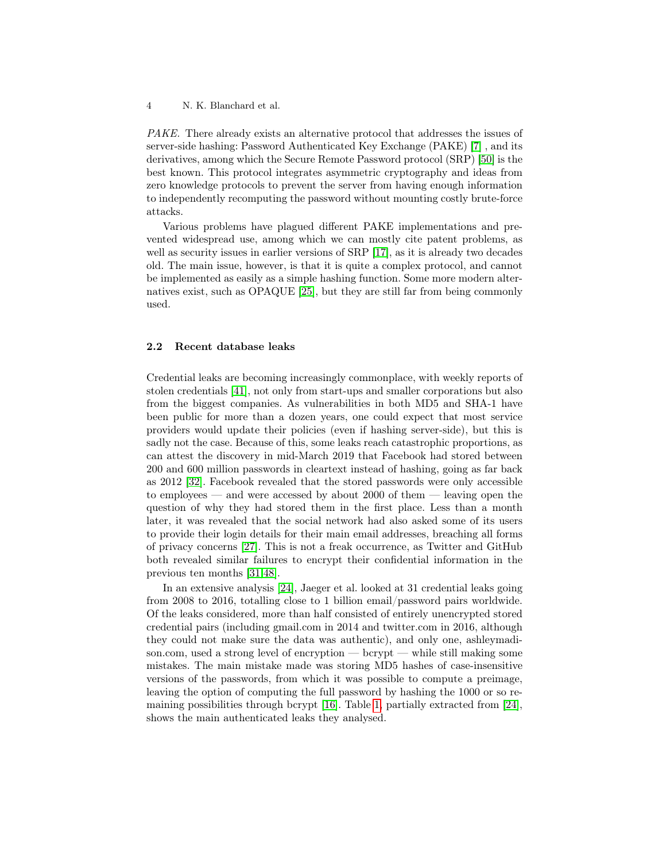PAKE. There already exists an alternative protocol that addresses the issues of server-side hashing: Password Authenticated Key Exchange (PAKE) [\[7\]](#page-14-6) , and its derivatives, among which the Secure Remote Password protocol (SRP) [\[50\]](#page-16-8) is the best known. This protocol integrates asymmetric cryptography and ideas from zero knowledge protocols to prevent the server from having enough information to independently recomputing the password without mounting costly brute-force attacks.

Various problems have plagued different PAKE implementations and prevented widespread use, among which we can mostly cite patent problems, as well as security issues in earlier versions of SRP [\[17\]](#page-15-3), as it is already two decades old. The main issue, however, is that it is quite a complex protocol, and cannot be implemented as easily as a simple hashing function. Some more modern alternatives exist, such as OPAQUE [\[25\]](#page-15-4), but they are still far from being commonly used.

### 2.2 Recent database leaks

Credential leaks are becoming increasingly commonplace, with weekly reports of stolen credentials [\[41\]](#page-16-1), not only from start-ups and smaller corporations but also from the biggest companies. As vulnerabilities in both MD5 and SHA-1 have been public for more than a dozen years, one could expect that most service providers would update their policies (even if hashing server-side), but this is sadly not the case. Because of this, some leaks reach catastrophic proportions, as can attest the discovery in mid-March 2019 that Facebook had stored between 200 and 600 million passwords in cleartext instead of hashing, going as far back as 2012 [\[32\]](#page-15-2). Facebook revealed that the stored passwords were only accessible to employees — and were accessed by about 2000 of them — leaving open the question of why they had stored them in the first place. Less than a month later, it was revealed that the social network had also asked some of its users to provide their login details for their main email addresses, breaching all forms of privacy concerns [\[27\]](#page-15-5). This is not a freak occurrence, as Twitter and GitHub both revealed similar failures to encrypt their confidential information in the previous ten months [\[31](#page-15-6)[,48\]](#page-16-9).

In an extensive analysis [\[24\]](#page-15-7), Jaeger et al. looked at 31 credential leaks going from 2008 to 2016, totalling close to 1 billion email/password pairs worldwide. Of the leaks considered, more than half consisted of entirely unencrypted stored credential pairs (including gmail.com in 2014 and twitter.com in 2016, although they could not make sure the data was authentic), and only one, ashleymadison.com, used a strong level of encryption — bcrypt — while still making some mistakes. The main mistake made was storing MD5 hashes of case-insensitive versions of the passwords, from which it was possible to compute a preimage, leaving the option of computing the full password by hashing the 1000 or so remaining possibilities through bcrypt [\[16\]](#page-15-8). Table [1,](#page-4-0) partially extracted from [\[24\]](#page-15-7), shows the main authenticated leaks they analysed.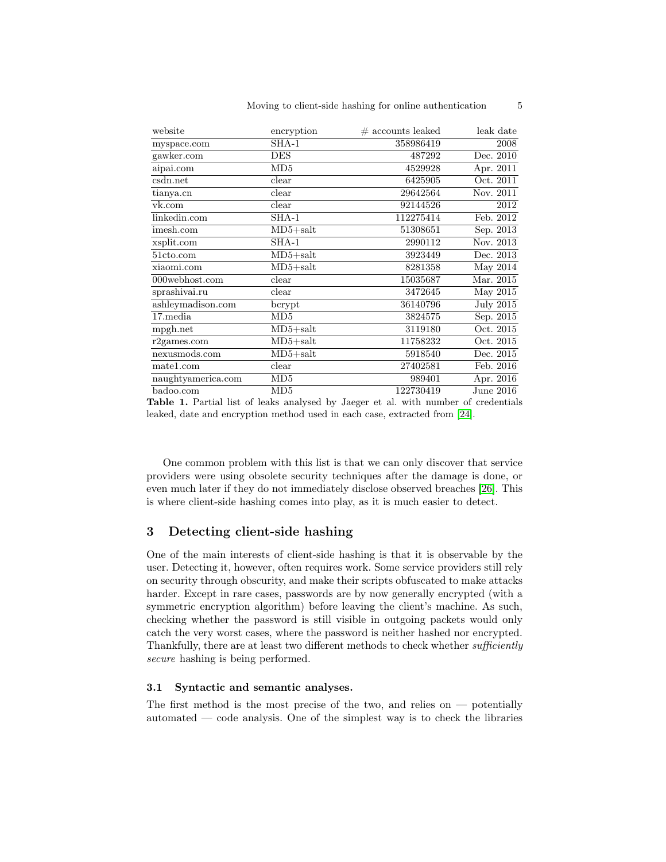| website            | encryption   | $\#$ accounts leaked | leak date              |
|--------------------|--------------|----------------------|------------------------|
| myspace.com        | $SHA-1$      | 358986419            | 2008                   |
| gawker.com         | <b>DES</b>   | 487292               | Dec. $20\overline{10}$ |
| aipai.com          | MD5          | 4529928              | Apr. 2011              |
| csdn.net           | clear        | 6425905              | Oct. 2011              |
| tianya.cn          | clear        | 29642564             | Nov. 2011              |
| vk.com             | clear        | 92144526             | 2012                   |
| linkedin.com       | $SHA-1$      | 112275414            | Feb. 2012              |
| imesh.com          | $MD5 + salt$ | 51308651             | Sep. 2013              |
| xsplit.com         | $SHA-1$      | 2990112              | Nov. 2013              |
| 51cto.com          | $MD5 + salt$ | 3923449              | Dec. 2013              |
| xiaomi.com         | $MD5 + salt$ | 8281358              | May 2014               |
| 000webhost.com     | clear        | 15035687             | Mar. 2015              |
| sprashivai.ru      | clear        | 3472645              | May 2015               |
| ashleymadison.com  | bcrypt       | 36140796             | <b>July 2015</b>       |
| $17$ . media       | MD5          | 3824575              | Sep. $20\overline{15}$ |
| mpgh.net           | $MD5 + salt$ | 3119180              | Oct. 2015              |
| $r2$ games.com     | $MD5 + salt$ | 11758232             | Oct. 2015              |
| nexusmods.com      | $MD5 + salt$ | 5918540              | Dec. 2015              |
| mate1.com          | clear        | 27402581             | Feb. 2016              |
| naughtyamerica.com | MD5          | 989401               | Apr. 2016              |
| badoo.com          | MD5          | 122730419            | June 2016              |

<span id="page-4-0"></span>Table 1. Partial list of leaks analysed by Jaeger et al. with number of credentials leaked, date and encryption method used in each case, extracted from [\[24\]](#page-15-7).

One common problem with this list is that we can only discover that service providers were using obsolete security techniques after the damage is done, or even much later if they do not immediately disclose observed breaches [\[26\]](#page-15-9). This is where client-side hashing comes into play, as it is much easier to detect.

# 3 Detecting client-side hashing

One of the main interests of client-side hashing is that it is observable by the user. Detecting it, however, often requires work. Some service providers still rely on security through obscurity, and make their scripts obfuscated to make attacks harder. Except in rare cases, passwords are by now generally encrypted (with a symmetric encryption algorithm) before leaving the client's machine. As such, checking whether the password is still visible in outgoing packets would only catch the very worst cases, where the password is neither hashed nor encrypted. Thankfully, there are at least two different methods to check whether sufficiently secure hashing is being performed.

### 3.1 Syntactic and semantic analyses.

The first method is the most precise of the two, and relies on  $-$  potentially  $a$ utomated — code analysis. One of the simplest way is to check the libraries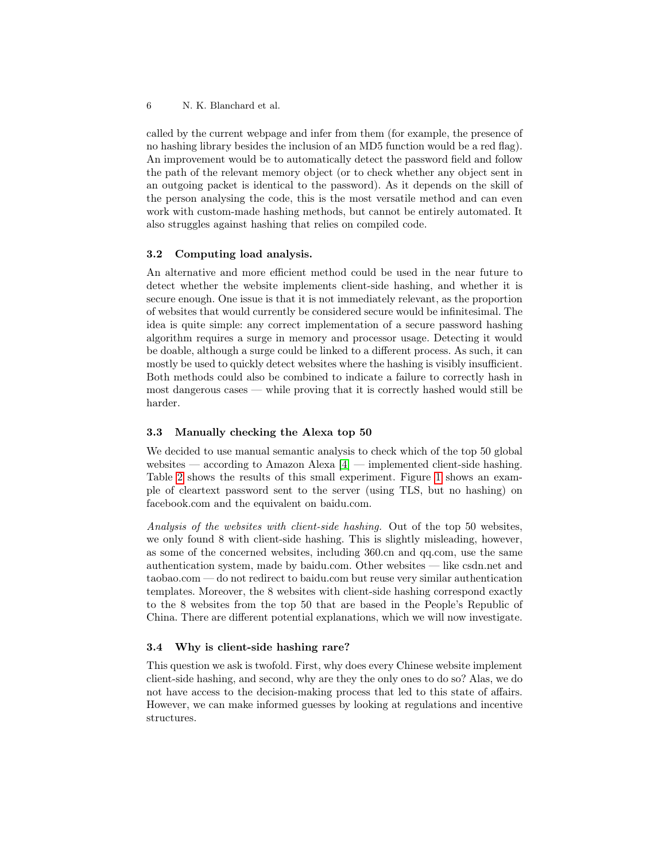called by the current webpage and infer from them (for example, the presence of no hashing library besides the inclusion of an MD5 function would be a red flag). An improvement would be to automatically detect the password field and follow the path of the relevant memory object (or to check whether any object sent in an outgoing packet is identical to the password). As it depends on the skill of the person analysing the code, this is the most versatile method and can even work with custom-made hashing methods, but cannot be entirely automated. It also struggles against hashing that relies on compiled code.

### 3.2 Computing load analysis.

An alternative and more efficient method could be used in the near future to detect whether the website implements client-side hashing, and whether it is secure enough. One issue is that it is not immediately relevant, as the proportion of websites that would currently be considered secure would be infinitesimal. The idea is quite simple: any correct implementation of a secure password hashing algorithm requires a surge in memory and processor usage. Detecting it would be doable, although a surge could be linked to a different process. As such, it can mostly be used to quickly detect websites where the hashing is visibly insufficient. Both methods could also be combined to indicate a failure to correctly hash in most dangerous cases — while proving that it is correctly hashed would still be harder.

### 3.3 Manually checking the Alexa top 50

We decided to use manual semantic analysis to check which of the top 50 global websites — according to Amazon Alexa  $[4]$  — implemented client-side hashing. Table [2](#page-7-0) shows the results of this small experiment. Figure [1](#page-6-0) shows an example of cleartext password sent to the server (using TLS, but no hashing) on facebook.com and the equivalent on baidu.com.

Analysis of the websites with client-side hashing. Out of the top 50 websites, we only found 8 with client-side hashing. This is slightly misleading, however, as some of the concerned websites, including 360.cn and qq.com, use the same authentication system, made by baidu.com. Other websites — like csdn.net and taobao.com — do not redirect to baidu.com but reuse very similar authentication templates. Moreover, the 8 websites with client-side hashing correspond exactly to the 8 websites from the top 50 that are based in the People's Republic of China. There are different potential explanations, which we will now investigate.

### 3.4 Why is client-side hashing rare?

This question we ask is twofold. First, why does every Chinese website implement client-side hashing, and second, why are they the only ones to do so? Alas, we do not have access to the decision-making process that led to this state of affairs. However, we can make informed guesses by looking at regulations and incentive structures.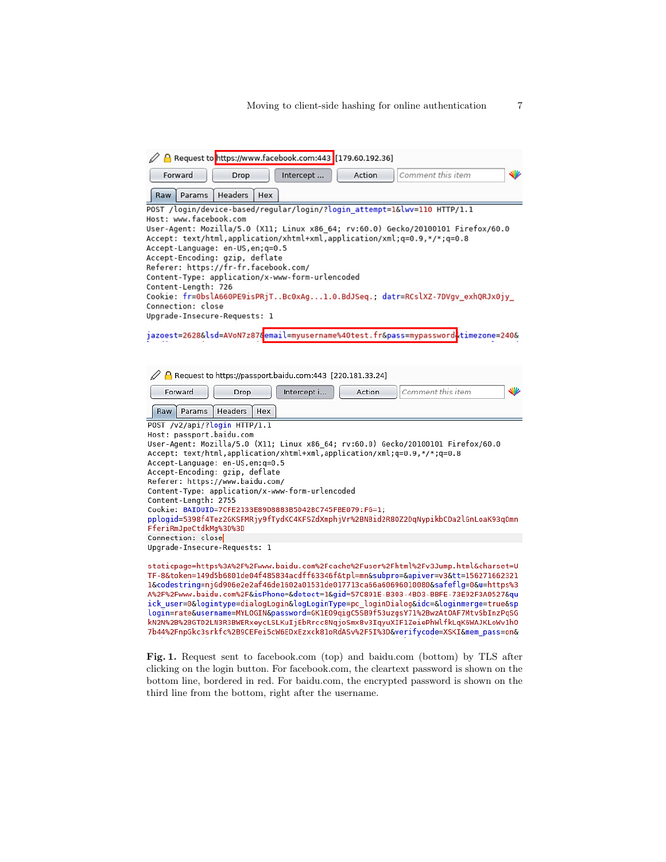| Forward                                                                            | Drop    |     | Intercept   | Action | Comment this item                                                                                     |      |
|------------------------------------------------------------------------------------|---------|-----|-------------|--------|-------------------------------------------------------------------------------------------------------|------|
|                                                                                    |         |     |             |        |                                                                                                       |      |
| Params<br>Raw                                                                      | Headers | Hex |             |        |                                                                                                       |      |
|                                                                                    |         |     |             |        | POST /login/device-based/regular/login/?login attempt=1&lwv=110 HTTP/1.1                              |      |
| Host: www.facebook.com                                                             |         |     |             |        |                                                                                                       |      |
|                                                                                    |         |     |             |        | User-Agent: Mozilla/5.0 (X11; Linux x86 64; rv:60.0) Gecko/20100101 Firefox/60.0                      |      |
|                                                                                    |         |     |             |        | Accept: text/html,application/xhtml+xml,application/xml;q=0.9,*/*;q=0.8                               |      |
| Accept-Language: en-US, en; q=0.5<br>Accept-Encoding: gzip, deflate                |         |     |             |        |                                                                                                       |      |
| Referer: https://fr-fr.facebook.com/                                               |         |     |             |        |                                                                                                       |      |
| Content-Type: application/x-www-form-urlencoded                                    |         |     |             |        |                                                                                                       |      |
| Content-Length: 726                                                                |         |     |             |        |                                                                                                       |      |
|                                                                                    |         |     |             |        | Cookie: fr=0bslA660PE9isPRjTBc0xAg1.0.BdJSeq.; datr=RCslXZ-7DVgv_exhQRJx0jy_                          |      |
| Connection: close                                                                  |         |     |             |        |                                                                                                       |      |
| Upgrade-Insecure-Requests: 1                                                       |         |     |             |        |                                                                                                       |      |
|                                                                                    |         |     |             |        |                                                                                                       |      |
|                                                                                    |         |     |             |        | jazoest=2628&lsd=AVoN7z87& <mark>email=myusername%40test.fr&amp;pass=mypassword</mark> ktimezone=240& |      |
|                                                                                    |         |     |             |        |                                                                                                       |      |
|                                                                                    |         |     |             |        |                                                                                                       |      |
|                                                                                    |         |     |             |        |                                                                                                       |      |
| $\oslash$ A Request to https://passport.baidu.com:443 [220.181.33.24]              |         |     |             |        |                                                                                                       |      |
| Forward                                                                            | Drop    |     | Intercept i | Action | Comment this item                                                                                     | طالا |
|                                                                                    |         |     |             |        |                                                                                                       |      |
| Params<br>Raw                                                                      | Headers | Hex |             |        |                                                                                                       |      |
| POST /v2/api/?login HTTP/1.1                                                       |         |     |             |        |                                                                                                       |      |
| Host: passport.baidu.com                                                           |         |     |             |        |                                                                                                       |      |
|                                                                                    |         |     |             |        | User-Agent: Mozilla/5.0 (X11; Linux x86 64; rv:60.0) Gecko/20100101 Firefox/60.0                      |      |
|                                                                                    |         |     |             |        | Accept: text/html,application/xhtml+xml,application/xml;q=0.9,*/*;q=0.8                               |      |
| Accept-Language: en-US, en; q=0.5                                                  |         |     |             |        |                                                                                                       |      |
| Accept-Encoding: gzip, deflate                                                     |         |     |             |        |                                                                                                       |      |
| Referer: https://www.baidu.com/<br>Content-Type: application/x-www-form-urlencoded |         |     |             |        |                                                                                                       |      |
| Content-Length: 2755                                                               |         |     |             |        |                                                                                                       |      |
| Cookie: BAIDUID=7CFE2133E89D8883B5D42BC745FBE079:FG=1;                             |         |     |             |        |                                                                                                       |      |
|                                                                                    |         |     |             |        | pplogid=5398f4Tez2GKSFMRjy9fTydKC4KFSZdXmphjVr%2BNBid2R80Z2DqNypikbCDa2lGnLoaK93q0mn                  |      |
| FferiRmJpeCtdkMg%3D%3D                                                             |         |     |             |        |                                                                                                       |      |
| Connection: close                                                                  |         |     |             |        |                                                                                                       |      |
| Upgrade-Insecure-Requests: 1                                                       |         |     |             |        |                                                                                                       |      |
|                                                                                    |         |     |             |        | staticpage=https%3A%2F%2Fwww.baidu.com%2Fcache%2Fuser%2Fhtml%2Fv3Jump.html&charset=U                  |      |
|                                                                                    |         |     |             |        | TF-8&token=149d5b6801de04f485834acdff63346f&tpl=mn&subpro=&apiver=v3&tt=156271662321                  |      |
|                                                                                    |         |     |             |        | 1&codestring=njGd906e2e2af46de1602a01531de017713ca66a60696010080&safeflg=0&u=https%3                  |      |
|                                                                                    |         |     |             |        | ASSESSEMME haidu comsSESicRhono-Sdotoct-15gid-570001E R202 ARD2 RREE 72E02E2A05275gu                  |      |

-73E92F3A0527&qu letect=1&g1d=57C891E-B30 3 - BE ick\_user=0&logintype=dialogLogin&logLoginType=pc\_loginDialog&idc=&loginmerge=true&sp login=rate&username=MYLOGIN&password=GK1E09qigC5SB9f53uzgsY71%2BwzAt0AF7MtvSbInzPqSG kN2N%2B%2BGTD2LN3R3BWERxeycLSLKuIjEbRrcc8NqjoSmx8v3IqyuXIF1ZeiePhWlfkLqK6WAJKLoWvlh0 7b44%2FnpGkc3srkfc%2B9CEFei5cW6EDxEzxck81oRdASv%2F5I%3D&verifycode=XSKI&mem\_pass=on&

<span id="page-6-0"></span>Fig. 1. Request sent to facebook.com (top) and baidu.com (bottom) by TLS after clicking on the login button. For facebook.com, the cleartext password is shown on the bottom line, bordered in red. For baidu.com, the encrypted password is shown on the third line from the bottom, right after the username.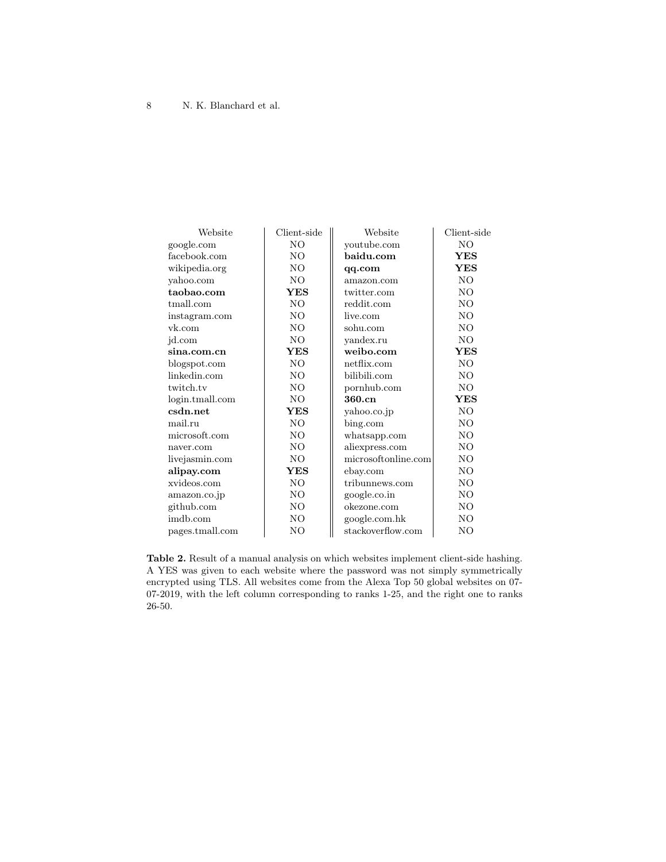| Website         | Client-side    | Website             | Client-side |
|-----------------|----------------|---------------------|-------------|
| google.com      | NO             | youtube.com         | NO.         |
| facebook.com    | NO             | baidu.com           | <b>YES</b>  |
| wikipedia.org   | NO.            | qq.com              | <b>YES</b>  |
| yahoo.com       | NO.            | amazon.com          | NO.         |
| taobao.com      | <b>YES</b>     | twitter.com         | NO.         |
| tmall.com       | NO.            | reddit.com          | NO.         |
| instagram.com   | NO             | live.com            | NO.         |
| vk.com          | NO.            | sohu.com            | NO.         |
| jd.com          | NO             | yandex.ru           | NO.         |
| sina.com.cn     | <b>YES</b>     | weibo.com           | <b>YES</b>  |
| blogspot.com    | NO.            | netflix.com         | NO.         |
| linkedin.com    | NO             | bilibili.com        | NO.         |
| twitch.tv       | NO.            | pornhub.com         | NO.         |
| login.tmall.com | NO.            | 360.cn              | <b>YES</b>  |
| csdn.net        | YES            | yahoo.co.jp         | NO.         |
| mail.ru         | N <sub>O</sub> | bing.com            | NO.         |
| microsoft.com   | NO             | whatsapp.com        | NO.         |
| naver.com       | NO.            | aliexpress.com      | NO.         |
| livejasmin.com  | NO.            | microsoftonline.com | NO.         |
| alipay.com      | YES            | ebay.com            | NO.         |
| xvideos.com     | NO.            | tribunnews.com      | NO.         |
| amazon.co.jp    | NO.            | google.co.in        | NO.         |
| github.com      | NO.            | okezone.com         | NO.         |
| imdb.com        | NO.            | google.com.hk       | NO.         |
| pages.tmall.com | NΟ             | stackoverflow.com   | NO          |

<span id="page-7-0"></span>Table 2. Result of a manual analysis on which websites implement client-side hashing. A YES was given to each website where the password was not simply symmetrically encrypted using TLS. All websites come from the Alexa Top 50 global websites on 07- 07-2019, with the left column corresponding to ranks 1-25, and the right one to ranks 26-50.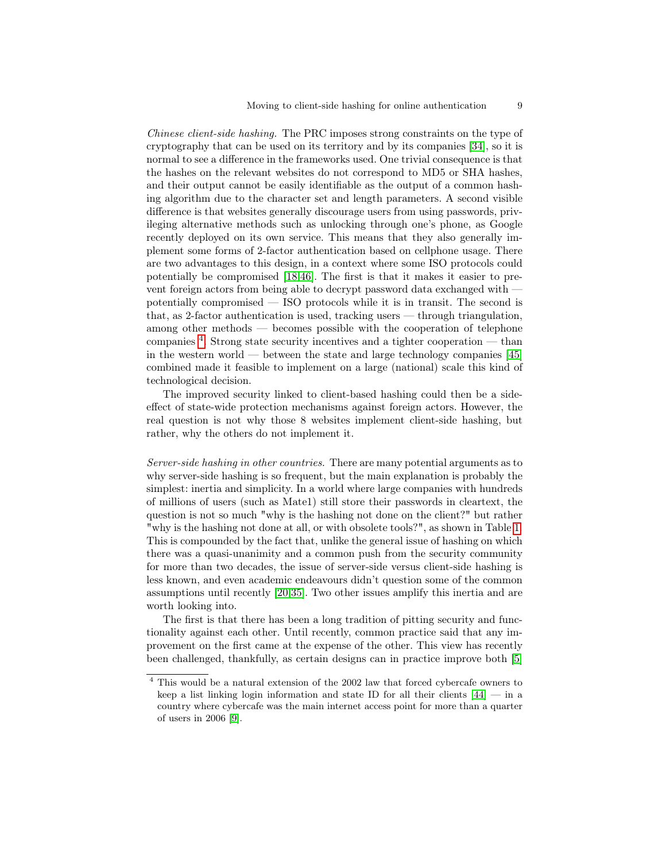Chinese client-side hashing. The PRC imposes strong constraints on the type of cryptography that can be used on its territory and by its companies [\[34\]](#page-16-10), so it is normal to see a difference in the frameworks used. One trivial consequence is that the hashes on the relevant websites do not correspond to MD5 or SHA hashes, and their output cannot be easily identifiable as the output of a common hashing algorithm due to the character set and length parameters. A second visible difference is that websites generally discourage users from using passwords, privileging alternative methods such as unlocking through one's phone, as Google recently deployed on its own service. This means that they also generally implement some forms of 2-factor authentication based on cellphone usage. There are two advantages to this design, in a context where some ISO protocols could potentially be compromised [\[18](#page-15-10)[,46\]](#page-16-11). The first is that it makes it easier to prevent foreign actors from being able to decrypt password data exchanged with potentially compromised — ISO protocols while it is in transit. The second is that, as 2-factor authentication is used, tracking users — through triangulation, among other methods — becomes possible with the cooperation of telephone companies [4](#page-8-0) . Strong state security incentives and a tighter cooperation — than in the western world — between the state and large technology companies [\[45\]](#page-16-12) combined made it feasible to implement on a large (national) scale this kind of technological decision.

The improved security linked to client-based hashing could then be a sideeffect of state-wide protection mechanisms against foreign actors. However, the real question is not why those 8 websites implement client-side hashing, but rather, why the others do not implement it.

Server-side hashing in other countries. There are many potential arguments as to why server-side hashing is so frequent, but the main explanation is probably the simplest: inertia and simplicity. In a world where large companies with hundreds of millions of users (such as Mate1) still store their passwords in cleartext, the question is not so much "why is the hashing not done on the client?" but rather "why is the hashing not done at all, or with obsolete tools?", as shown in Table [1.](#page-4-0) This is compounded by the fact that, unlike the general issue of hashing on which there was a quasi-unanimity and a common push from the security community for more than two decades, the issue of server-side versus client-side hashing is less known, and even academic endeavours didn't question some of the common assumptions until recently [\[20,](#page-15-1)[35\]](#page-16-3). Two other issues amplify this inertia and are worth looking into.

The first is that there has been a long tradition of pitting security and functionality against each other. Until recently, common practice said that any improvement on the first came at the expense of the other. This view has recently been challenged, thankfully, as certain designs can in practice improve both [\[5\]](#page-14-8)

<span id="page-8-0"></span><sup>4</sup> This would be a natural extension of the 2002 law that forced cybercafe owners to keep a list linking login information and state ID for all their clients  $[44]$  — in a country where cybercafe was the main internet access point for more than a quarter of users in 2006 [\[9\]](#page-14-9).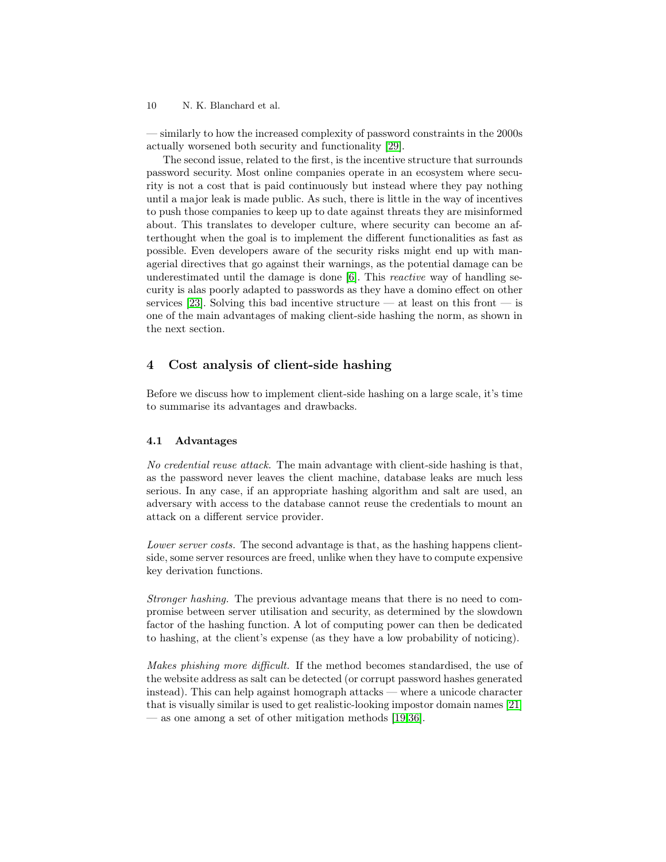— similarly to how the increased complexity of password constraints in the 2000s actually worsened both security and functionality [\[29\]](#page-15-11).

The second issue, related to the first, is the incentive structure that surrounds password security. Most online companies operate in an ecosystem where security is not a cost that is paid continuously but instead where they pay nothing until a major leak is made public. As such, there is little in the way of incentives to push those companies to keep up to date against threats they are misinformed about. This translates to developer culture, where security can become an afterthought when the goal is to implement the different functionalities as fast as possible. Even developers aware of the security risks might end up with managerial directives that go against their warnings, as the potential damage can be underestimated until the damage is done [\[6\]](#page-14-10). This reactive way of handling security is alas poorly adapted to passwords as they have a domino effect on other services [\[23\]](#page-15-12). Solving this bad incentive structure — at least on this front — is one of the main advantages of making client-side hashing the norm, as shown in the next section.

# 4 Cost analysis of client-side hashing

Before we discuss how to implement client-side hashing on a large scale, it's time to summarise its advantages and drawbacks.

### 4.1 Advantages

No credential reuse attack. The main advantage with client-side hashing is that, as the password never leaves the client machine, database leaks are much less serious. In any case, if an appropriate hashing algorithm and salt are used, an adversary with access to the database cannot reuse the credentials to mount an attack on a different service provider.

Lower server costs. The second advantage is that, as the hashing happens clientside, some server resources are freed, unlike when they have to compute expensive key derivation functions.

Stronger hashing. The previous advantage means that there is no need to compromise between server utilisation and security, as determined by the slowdown factor of the hashing function. A lot of computing power can then be dedicated to hashing, at the client's expense (as they have a low probability of noticing).

Makes phishing more difficult. If the method becomes standardised, the use of the website address as salt can be detected (or corrupt password hashes generated instead). This can help against homograph attacks — where a unicode character that is visually similar is used to get realistic-looking impostor domain names [\[21\]](#page-15-13) — as one among a set of other mitigation methods [\[19,](#page-15-14)[36\]](#page-16-14).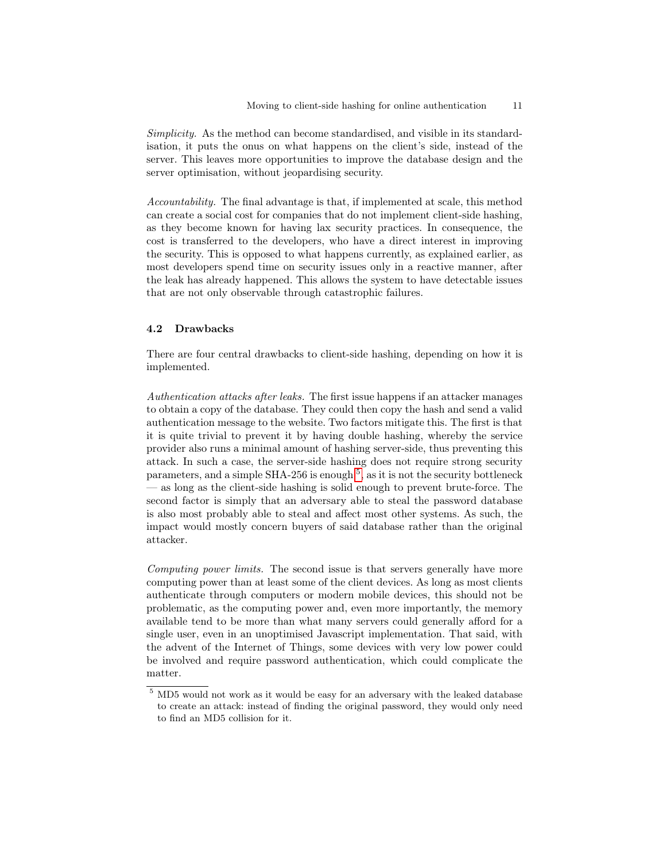Simplicity. As the method can become standardised, and visible in its standardisation, it puts the onus on what happens on the client's side, instead of the server. This leaves more opportunities to improve the database design and the server optimisation, without jeopardising security.

Accountability. The final advantage is that, if implemented at scale, this method can create a social cost for companies that do not implement client-side hashing, as they become known for having lax security practices. In consequence, the cost is transferred to the developers, who have a direct interest in improving the security. This is opposed to what happens currently, as explained earlier, as most developers spend time on security issues only in a reactive manner, after the leak has already happened. This allows the system to have detectable issues that are not only observable through catastrophic failures.

# 4.2 Drawbacks

There are four central drawbacks to client-side hashing, depending on how it is implemented.

Authentication attacks after leaks. The first issue happens if an attacker manages to obtain a copy of the database. They could then copy the hash and send a valid authentication message to the website. Two factors mitigate this. The first is that it is quite trivial to prevent it by having double hashing, whereby the service provider also runs a minimal amount of hashing server-side, thus preventing this attack. In such a case, the server-side hashing does not require strong security parameters, and a simple SHA-2[5](#page-10-0)6 is enough  $^5$ , as it is not the security bottleneck — as long as the client-side hashing is solid enough to prevent brute-force. The second factor is simply that an adversary able to steal the password database is also most probably able to steal and affect most other systems. As such, the impact would mostly concern buyers of said database rather than the original attacker.

Computing power limits. The second issue is that servers generally have more computing power than at least some of the client devices. As long as most clients authenticate through computers or modern mobile devices, this should not be problematic, as the computing power and, even more importantly, the memory available tend to be more than what many servers could generally afford for a single user, even in an unoptimised Javascript implementation. That said, with the advent of the Internet of Things, some devices with very low power could be involved and require password authentication, which could complicate the matter.

<span id="page-10-0"></span><sup>5</sup> MD5 would not work as it would be easy for an adversary with the leaked database to create an attack: instead of finding the original password, they would only need to find an MD5 collision for it.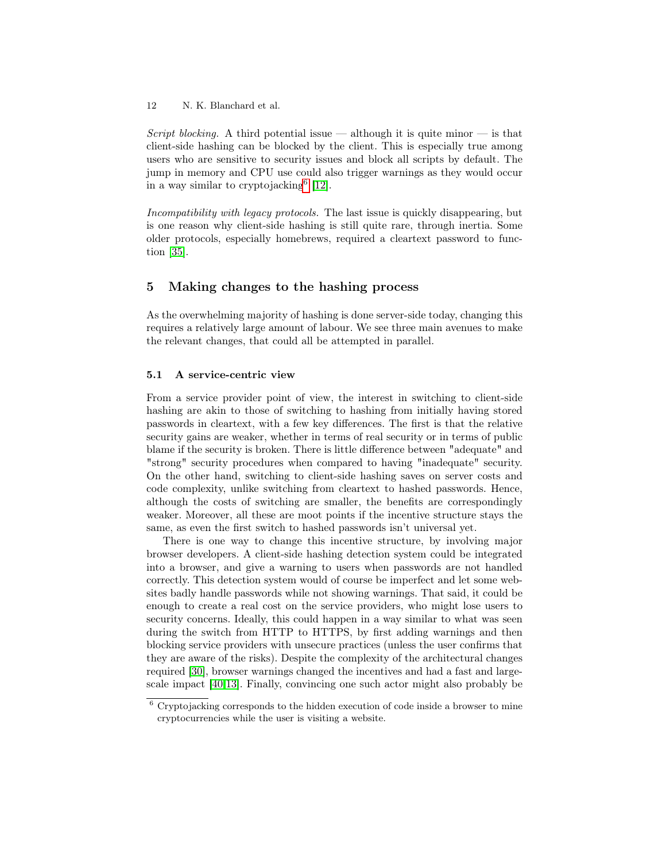Script blocking. A third potential issue — although it is quite minor — is that client-side hashing can be blocked by the client. This is especially true among users who are sensitive to security issues and block all scripts by default. The jump in memory and CPU use could also trigger warnings as they would occur in a way similar to cryptojacking[6](#page-11-0) [\[12\]](#page-14-11).

Incompatibility with legacy protocols. The last issue is quickly disappearing, but is one reason why client-side hashing is still quite rare, through inertia. Some older protocols, especially homebrews, required a cleartext password to function [\[35\]](#page-16-3).

# 5 Making changes to the hashing process

As the overwhelming majority of hashing is done server-side today, changing this requires a relatively large amount of labour. We see three main avenues to make the relevant changes, that could all be attempted in parallel.

### 5.1 A service-centric view

From a service provider point of view, the interest in switching to client-side hashing are akin to those of switching to hashing from initially having stored passwords in cleartext, with a few key differences. The first is that the relative security gains are weaker, whether in terms of real security or in terms of public blame if the security is broken. There is little difference between "adequate" and "strong" security procedures when compared to having "inadequate" security. On the other hand, switching to client-side hashing saves on server costs and code complexity, unlike switching from cleartext to hashed passwords. Hence, although the costs of switching are smaller, the benefits are correspondingly weaker. Moreover, all these are moot points if the incentive structure stays the same, as even the first switch to hashed passwords isn't universal yet.

There is one way to change this incentive structure, by involving major browser developers. A client-side hashing detection system could be integrated into a browser, and give a warning to users when passwords are not handled correctly. This detection system would of course be imperfect and let some websites badly handle passwords while not showing warnings. That said, it could be enough to create a real cost on the service providers, who might lose users to security concerns. Ideally, this could happen in a way similar to what was seen during the switch from HTTP to HTTPS, by first adding warnings and then blocking service providers with unsecure practices (unless the user confirms that they are aware of the risks). Despite the complexity of the architectural changes required [\[30\]](#page-15-15), browser warnings changed the incentives and had a fast and largescale impact [\[40,](#page-16-15)[13\]](#page-14-12). Finally, convincing one such actor might also probably be

<span id="page-11-0"></span> $6$  Cryptojacking corresponds to the hidden execution of code inside a browser to mine cryptocurrencies while the user is visiting a website.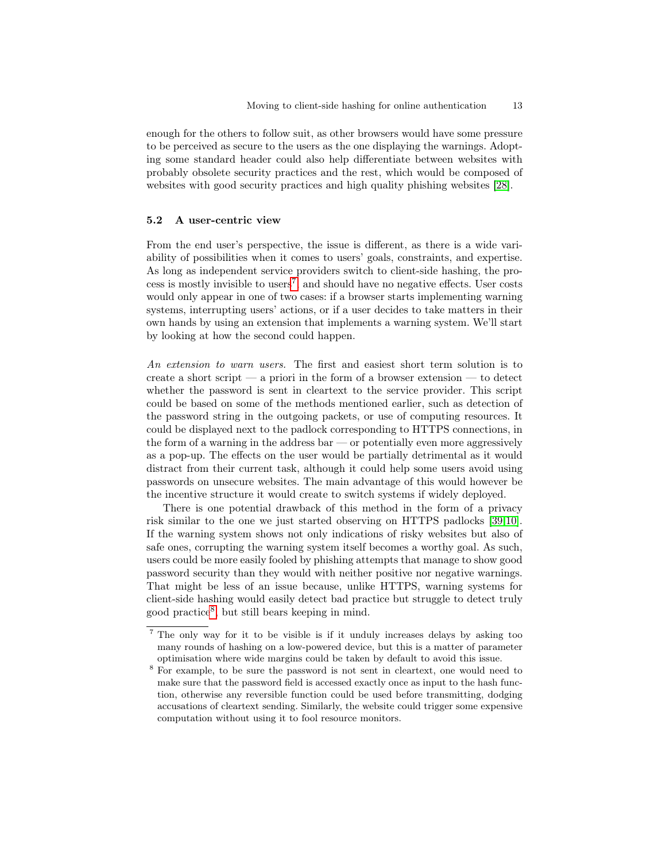enough for the others to follow suit, as other browsers would have some pressure to be perceived as secure to the users as the one displaying the warnings. Adopting some standard header could also help differentiate between websites with probably obsolete security practices and the rest, which would be composed of websites with good security practices and high quality phishing websites [\[28\]](#page-15-16).

### 5.2 A user-centric view

From the end user's perspective, the issue is different, as there is a wide variability of possibilities when it comes to users' goals, constraints, and expertise. As long as independent service providers switch to client-side hashing, the pro-cess is mostly invisible to users<sup>[7](#page-12-0)</sup>, and should have no negative effects. User costs would only appear in one of two cases: if a browser starts implementing warning systems, interrupting users' actions, or if a user decides to take matters in their own hands by using an extension that implements a warning system. We'll start by looking at how the second could happen.

An extension to warn users. The first and easiest short term solution is to create a short script — a priori in the form of a browser extension — to detect whether the password is sent in cleartext to the service provider. This script could be based on some of the methods mentioned earlier, such as detection of the password string in the outgoing packets, or use of computing resources. It could be displayed next to the padlock corresponding to HTTPS connections, in the form of a warning in the address bar — or potentially even more aggressively as a pop-up. The effects on the user would be partially detrimental as it would distract from their current task, although it could help some users avoid using passwords on unsecure websites. The main advantage of this would however be the incentive structure it would create to switch systems if widely deployed.

There is one potential drawback of this method in the form of a privacy risk similar to the one we just started observing on HTTPS padlocks [\[39,](#page-16-16)[10\]](#page-14-13). If the warning system shows not only indications of risky websites but also of safe ones, corrupting the warning system itself becomes a worthy goal. As such, users could be more easily fooled by phishing attempts that manage to show good password security than they would with neither positive nor negative warnings. That might be less of an issue because, unlike HTTPS, warning systems for client-side hashing would easily detect bad practice but struggle to detect truly good practice[8](#page-12-1) , but still bears keeping in mind.

<span id="page-12-0"></span><sup>7</sup> The only way for it to be visible is if it unduly increases delays by asking too many rounds of hashing on a low-powered device, but this is a matter of parameter optimisation where wide margins could be taken by default to avoid this issue.

<span id="page-12-1"></span><sup>8</sup> For example, to be sure the password is not sent in cleartext, one would need to make sure that the password field is accessed exactly once as input to the hash function, otherwise any reversible function could be used before transmitting, dodging accusations of cleartext sending. Similarly, the website could trigger some expensive computation without using it to fool resource monitors.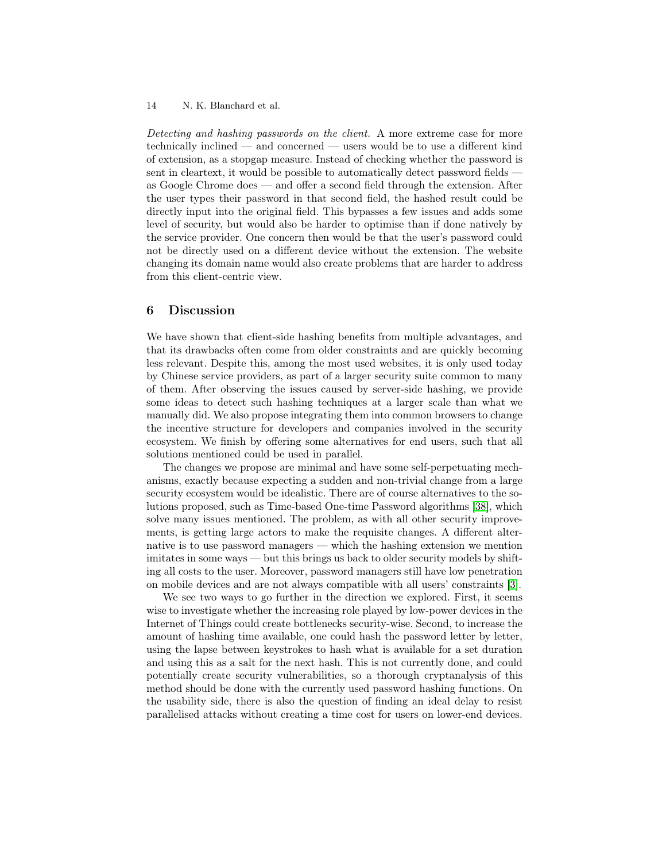Detecting and hashing passwords on the client. A more extreme case for more technically inclined — and concerned — users would be to use a different kind of extension, as a stopgap measure. Instead of checking whether the password is sent in cleartext, it would be possible to automatically detect password fields as Google Chrome does — and offer a second field through the extension. After the user types their password in that second field, the hashed result could be directly input into the original field. This bypasses a few issues and adds some level of security, but would also be harder to optimise than if done natively by the service provider. One concern then would be that the user's password could not be directly used on a different device without the extension. The website changing its domain name would also create problems that are harder to address from this client-centric view.

### 6 Discussion

We have shown that client-side hashing benefits from multiple advantages, and that its drawbacks often come from older constraints and are quickly becoming less relevant. Despite this, among the most used websites, it is only used today by Chinese service providers, as part of a larger security suite common to many of them. After observing the issues caused by server-side hashing, we provide some ideas to detect such hashing techniques at a larger scale than what we manually did. We also propose integrating them into common browsers to change the incentive structure for developers and companies involved in the security ecosystem. We finish by offering some alternatives for end users, such that all solutions mentioned could be used in parallel.

The changes we propose are minimal and have some self-perpetuating mechanisms, exactly because expecting a sudden and non-trivial change from a large security ecosystem would be idealistic. There are of course alternatives to the solutions proposed, such as Time-based One-time Password algorithms [\[38\]](#page-16-17), which solve many issues mentioned. The problem, as with all other security improvements, is getting large actors to make the requisite changes. A different alternative is to use password managers — which the hashing extension we mention imitates in some ways — but this brings us back to older security models by shifting all costs to the user. Moreover, password managers still have low penetration on mobile devices and are not always compatible with all users' constraints [\[3\]](#page-14-14).

We see two ways to go further in the direction we explored. First, it seems wise to investigate whether the increasing role played by low-power devices in the Internet of Things could create bottlenecks security-wise. Second, to increase the amount of hashing time available, one could hash the password letter by letter, using the lapse between keystrokes to hash what is available for a set duration and using this as a salt for the next hash. This is not currently done, and could potentially create security vulnerabilities, so a thorough cryptanalysis of this method should be done with the currently used password hashing functions. On the usability side, there is also the question of finding an ideal delay to resist parallelised attacks without creating a time cost for users on lower-end devices.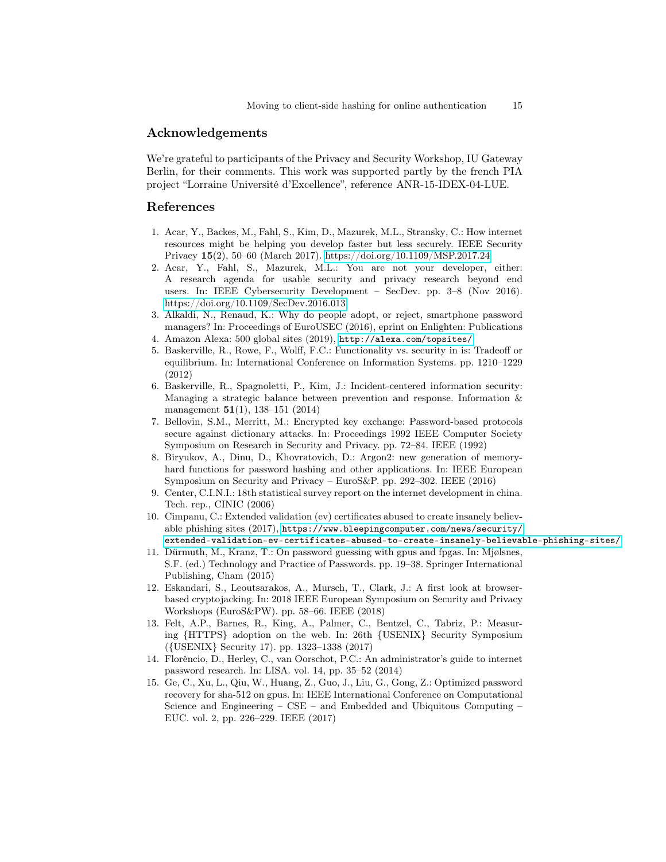### Acknowledgements

We're grateful to participants of the Privacy and Security Workshop, IU Gateway Berlin, for their comments. This work was supported partly by the french PIA project "Lorraine Université d'Excellence", reference ANR-15-IDEX-04-LUE.

#### References

- <span id="page-14-2"></span>1. Acar, Y., Backes, M., Fahl, S., Kim, D., Mazurek, M.L., Stransky, C.: How internet resources might be helping you develop faster but less securely. IEEE Security Privacy 15(2), 50–60 (March 2017).<https://doi.org/10.1109/MSP.2017.24>
- <span id="page-14-1"></span>2. Acar, Y., Fahl, S., Mazurek, M.L.: You are not your developer, either: A research agenda for usable security and privacy research beyond end users. In: IEEE Cybersecurity Development – SecDev. pp. 3–8 (Nov 2016). <https://doi.org/10.1109/SecDev.2016.013>
- <span id="page-14-14"></span>3. Alkaldi, N., Renaud, K.: Why do people adopt, or reject, smartphone password managers? In: Proceedings of EuroUSEC (2016), eprint on Enlighten: Publications 4. Amazon Alexa: 500 global sites (2019), <http://alexa.com/topsites/>
- <span id="page-14-8"></span><span id="page-14-7"></span>5. Baskerville, R., Rowe, F., Wolff, F.C.: Functionality vs. security in is: Tradeoff or equilibrium. In: International Conference on Information Systems. pp. 1210–1229 (2012)
- <span id="page-14-10"></span>6. Baskerville, R., Spagnoletti, P., Kim, J.: Incident-centered information security: Managing a strategic balance between prevention and response. Information & management 51(1), 138–151 (2014)
- <span id="page-14-6"></span>7. Bellovin, S.M., Merritt, M.: Encrypted key exchange: Password-based protocols secure against dictionary attacks. In: Proceedings 1992 IEEE Computer Society Symposium on Research in Security and Privacy. pp. 72–84. IEEE (1992)
- <span id="page-14-5"></span>8. Biryukov, A., Dinu, D., Khovratovich, D.: Argon2: new generation of memoryhard functions for password hashing and other applications. In: IEEE European Symposium on Security and Privacy – EuroS&P. pp. 292–302. IEEE (2016)
- <span id="page-14-9"></span>9. Center, C.I.N.I.: 18th statistical survey report on the internet development in china. Tech. rep., CINIC (2006)
- <span id="page-14-13"></span>10. Cimpanu, C.: Extended validation (ev) certificates abused to create insanely believable phishing sites (2017), [https://www.bleepingcomputer.com/news/security/](https://www.bleepingcomputer.com/news/security/extended-validation-ev-certificates-abused-to-create-insanely-believable-phishing-sites/) [extended-validation-ev-certificates-abused-to-create-insanely-believable-phishing-sites/](https://www.bleepingcomputer.com/news/security/extended-validation-ev-certificates-abused-to-create-insanely-believable-phishing-sites/)
- <span id="page-14-4"></span>11. Dürmuth, M., Kranz, T.: On password guessing with gpus and fpgas. In: Mjølsnes, S.F. (ed.) Technology and Practice of Passwords. pp. 19–38. Springer International Publishing, Cham (2015)
- <span id="page-14-11"></span>12. Eskandari, S., Leoutsarakos, A., Mursch, T., Clark, J.: A first look at browserbased cryptojacking. In: 2018 IEEE European Symposium on Security and Privacy Workshops (EuroS&PW). pp. 58–66. IEEE (2018)
- <span id="page-14-12"></span>13. Felt, A.P., Barnes, R., King, A., Palmer, C., Bentzel, C., Tabriz, P.: Measuring {HTTPS} adoption on the web. In: 26th {USENIX} Security Symposium ({USENIX} Security 17). pp. 1323–1338 (2017)
- <span id="page-14-0"></span>14. Florêncio, D., Herley, C., van Oorschot, P.C.: An administrator's guide to internet password research. In: LISA. vol. 14, pp. 35–52 (2014)
- <span id="page-14-3"></span>15. Ge, C., Xu, L., Qiu, W., Huang, Z., Guo, J., Liu, G., Gong, Z.: Optimized password recovery for sha-512 on gpus. In: IEEE International Conference on Computational Science and Engineering – CSE – and Embedded and Ubiquitous Computing – EUC. vol. 2, pp. 226–229. IEEE (2017)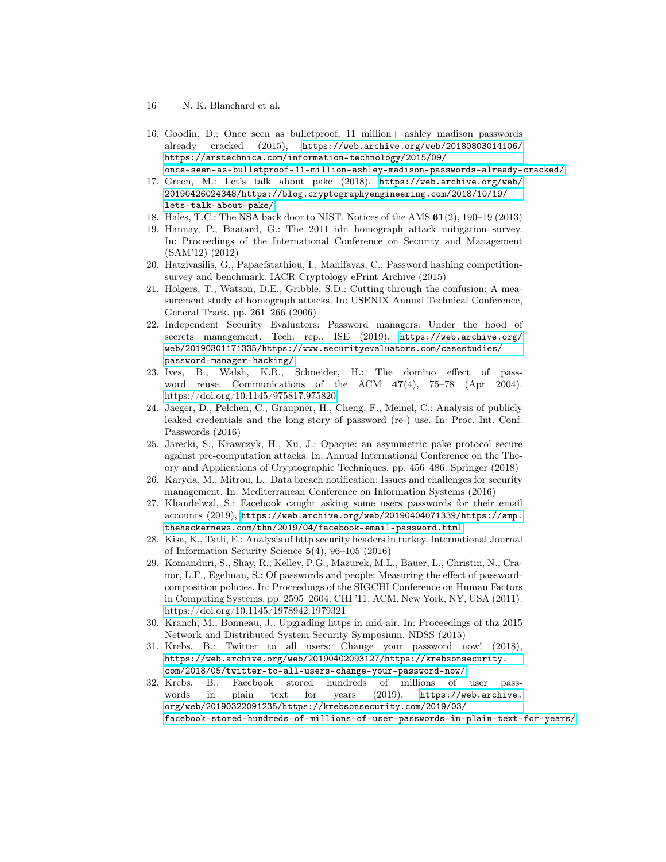- 16 N. K. Blanchard et al.
- <span id="page-15-8"></span>16. Goodin, D.: Once seen as bulletproof, 11 million+ ashley madison passwords already cracked (2015), [https://web.archive.org/web/20180803014106/](https://web.archive.org/web/20180803014106/https://arstechnica.com/information-technology/2015/09/once-seen-as-bulletproof-11-million-ashley-madison-passwords-already-cracked/) [https://arstechnica.com/information-technology/2015/09/](https://web.archive.org/web/20180803014106/https://arstechnica.com/information-technology/2015/09/once-seen-as-bulletproof-11-million-ashley-madison-passwords-already-cracked/) [once-seen-as-bulletproof-11-million-ashley-madison-passwords-already-cracked/](https://web.archive.org/web/20180803014106/https://arstechnica.com/information-technology/2015/09/once-seen-as-bulletproof-11-million-ashley-madison-passwords-already-cracked/)
- <span id="page-15-3"></span>17. Green, M.: Let's talk about pake (2018), [https://web.archive.org/web/](https://web.archive.org/web/20190426024348/https://blog.cryptographyengineering.com/2018/10/19/lets-talk-about-pake/) [20190426024348/https://blog.cryptographyengineering.com/2018/10/19/](https://web.archive.org/web/20190426024348/https://blog.cryptographyengineering.com/2018/10/19/lets-talk-about-pake/) [lets-talk-about-pake/](https://web.archive.org/web/20190426024348/https://blog.cryptographyengineering.com/2018/10/19/lets-talk-about-pake/)
- <span id="page-15-10"></span>18. Hales, T.C.: The NSA back door to NIST. Notices of the AMS 61(2), 190–19 (2013)
- <span id="page-15-14"></span>19. Hannay, P., Baatard, G.: The 2011 idn homograph attack mitigation survey. In: Proceedings of the International Conference on Security and Management (SAM'12) (2012)
- <span id="page-15-1"></span>20. Hatzivasilis, G., Papaefstathiou, I., Manifavas, C.: Password hashing competitionsurvey and benchmark. IACR Cryptology ePrint Archive (2015)
- <span id="page-15-13"></span>21. Holgers, T., Watson, D.E., Gribble, S.D.: Cutting through the confusion: A measurement study of homograph attacks. In: USENIX Annual Technical Conference, General Track. pp. 261–266 (2006)
- <span id="page-15-0"></span>22. Independent Security Evaluators: Password managers: Under the hood of secrets management. Tech. rep., ISE (2019), [https://web.archive.org/](https://web.archive.org/web/20190301171335/https://www.securityevaluators.com/casestudies/password-manager-hacking/) [web/20190301171335/https://www.securityevaluators.com/casestudies/](https://web.archive.org/web/20190301171335/https://www.securityevaluators.com/casestudies/password-manager-hacking/) [password-manager-hacking/](https://web.archive.org/web/20190301171335/https://www.securityevaluators.com/casestudies/password-manager-hacking/)
- <span id="page-15-12"></span>23. Ives, B., Walsh, K.R., Schneider, H.: The domino effect of password reuse. Communications of the ACM  $47(4)$ , 75–78 (Apr 2004). <https://doi.org/10.1145/975817.975820>
- <span id="page-15-7"></span>24. Jaeger, D., Pelchen, C., Graupner, H., Cheng, F., Meinel, C.: Analysis of publicly leaked credentials and the long story of password (re-) use. In: Proc. Int. Conf. Passwords (2016)
- <span id="page-15-4"></span>25. Jarecki, S., Krawczyk, H., Xu, J.: Opaque: an asymmetric pake protocol secure against pre-computation attacks. In: Annual International Conference on the Theory and Applications of Cryptographic Techniques. pp. 456–486. Springer (2018)
- <span id="page-15-9"></span>26. Karyda, M., Mitrou, L.: Data breach notification: Issues and challenges for security management. In: Mediterranean Conference on Information Systems (2016)
- <span id="page-15-5"></span>27. Khandelwal, S.: Facebook caught asking some users passwords for their email accounts (2019), [https://web.archive.org/web/20190404071339/https://amp.](https://web.archive.org/web/20190404071339/https://amp.thehackernews.com/thn/2019/04/facebook-email-password.html) [thehackernews.com/thn/2019/04/facebook-email-password.html](https://web.archive.org/web/20190404071339/https://amp.thehackernews.com/thn/2019/04/facebook-email-password.html)
- <span id="page-15-16"></span>28. Kisa, K., Tatli, E.: Analysis of http security headers in turkey. International Journal of Information Security Science 5(4), 96–105 (2016)
- <span id="page-15-11"></span>29. Komanduri, S., Shay, R., Kelley, P.G., Mazurek, M.L., Bauer, L., Christin, N., Cranor, L.F., Egelman, S.: Of passwords and people: Measuring the effect of passwordcomposition policies. In: Proceedings of the SIGCHI Conference on Human Factors in Computing Systems. pp. 2595–2604. CHI '11, ACM, New York, NY, USA (2011). <https://doi.org/10.1145/1978942.1979321>
- <span id="page-15-15"></span>30. Kranch, M., Bonneau, J.: Upgrading https in mid-air. In: Proceedings of thz 2015 Network and Distributed System Security Symposium. NDSS (2015)
- <span id="page-15-6"></span>31. Krebs, B.: Twitter to all users: Change your password now! (2018), [https://web.archive.org/web/20190402093127/https://krebsonsecurity.](https://web.archive.org/web/20190402093127/https://krebsonsecurity.com/2018/05/twitter-to-all-users-change-your-password-now/) [com/2018/05/twitter-to-all-users-change-your-password-now/](https://web.archive.org/web/20190402093127/https://krebsonsecurity.com/2018/05/twitter-to-all-users-change-your-password-now/)
- <span id="page-15-2"></span>32. Krebs, B.: Facebook stored hundreds of millions of user passwords in plain text for years (2019), [https://web.archive.](https://web.archive.org/web/20190322091235/https://krebsonsecurity.com/2019/03/facebook-stored-hundreds-of-millions-of-user-passwords-in-plain-text-for-years/) [org/web/20190322091235/https://krebsonsecurity.com/2019/03/](https://web.archive.org/web/20190322091235/https://krebsonsecurity.com/2019/03/facebook-stored-hundreds-of-millions-of-user-passwords-in-plain-text-for-years/) [facebook-stored-hundreds-of-millions-of-user-passwords-in-plain-text-for-years/](https://web.archive.org/web/20190322091235/https://krebsonsecurity.com/2019/03/facebook-stored-hundreds-of-millions-of-user-passwords-in-plain-text-for-years/)